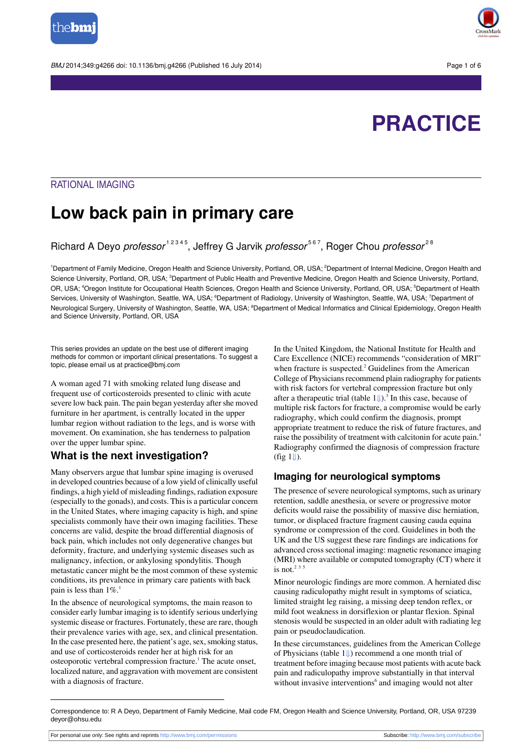

BMJ 2014;349:g4266 doi: 10.1136/bmj.g4266 (Published 16 July 2014) Page 1 of 6



# **PRACTICE**

#### RATIONAL IMAGING

# **Low back pain in primary care**

Richard A Deyo *professor*<sup>12345</sup>, Jeffrey G Jarvik *professor*<sup>567</sup>, Roger Chou *professor<sup>28</sup>* 

<sup>1</sup>Department of Family Medicine, Oregon Health and Science University, Portland, OR, USA; <sup>2</sup>Department of Internal Medicine, Oregon Health and Science University, Portland, OR, USA; <sup>3</sup>Department of Public Health and Preventive Medicine, Oregon Health and Science University, Portland, OR, USA; <sup>4</sup>Oregon Institute for Occupational Health Sciences, Oregon Health and Science University, Portland, OR, USA; <sup>5</sup>Department of Health Services, University of Washington, Seattle, WA, USA; <sup>6</sup>Department of Radiology, University of Washington, Seattle, WA, USA; <sup>7</sup>Department of Neurological Surgery, University of Washington, Seattle, WA, USA; <sup>8</sup>Department of Medical Informatics and Clinical Epidemiology, Oregon Health and Science University, Portland, OR, USA

This series provides an update on the best use of different imaging methods for common or important clinical presentations. To suggest a topic, please email us at practice@bmj.com

A woman aged 71 with smoking related lung disease and frequent use of corticosteroids presented to clinic with acute severe low back pain. The pain began yesterday after she moved furniture in her apartment, is centrally located in the upper lumbar region without radiation to the legs, and is worse with movement. On examination, she has tenderness to palpation over the upper lumbar spine.

#### **What is the next investigation?**

Many observers argue that lumbar spine imaging is overused in developed countries because of a low yield of clinically useful findings, a high yield of misleading findings, radiation exposure (especially to the gonads), and costs. Thisis a particular concern in the United States, where imaging capacity is high, and spine specialists commonly have their own imaging facilities. These concerns are valid, despite the broad differential diagnosis of back pain, which includes not only degenerative changes but deformity, fracture, and underlying systemic diseases such as malignancy, infection, or ankylosing spondylitis. Though metastatic cancer might be the most common of these systemic conditions, its prevalence in primary care patients with back pain is less than  $1\%$ .<sup>1</sup>

In the absence of neurological symptoms, the main reason to consider early lumbar imaging is to identify serious underlying systemic disease or fractures. Fortunately, these are rare, though their prevalence varies with age, sex, and clinical presentation. In the case presented here, the patient's age, sex, smoking status, and use of corticosteroids render her at high risk for an osteoporotic vertebral compression fracture.<sup>1</sup> The acute onset, localized nature, and aggravation with movement are consistent with a diagnosis of fracture.

In the United Kingdom, the National Institute for Health and Care Excellence (NICE) recommends "consideration of MRI" when fracture is suspected. $<sup>2</sup>$  Guidelines from the American</sup> College of Physicians recommend plain radiography for patients with risk factors for vertebral compression fracture but only after a therapeutic trial (table  $1 \downarrow$ ).<sup>3</sup> In this case, because of multiple risk factors for fracture, a compromise would be early radiography, which could confirm the diagnosis, prompt appropriate treatment to reduce the risk of future fractures, and raise the possibility of treatment with calcitonin for acute pain.<sup>4</sup> Radiography confirmed the diagnosis of compression fracture  $(fig 1|l)$ .

#### **Imaging for neurological symptoms**

The presence of severe neurological symptoms, such as urinary retention, saddle anesthesia, or severe or progressive motor deficits would raise the possibility of massive disc herniation, tumor, or displaced fracture fragment causing cauda equina syndrome or compression of the cord. Guidelines in both the UK and the US suggest these rare findings are indications for advanced cross sectional imaging: magnetic resonance imaging (MRI) where available or computed tomography (CT) where it is not.<sup>23 5</sup>

Minor neurologic findings are more common. A herniated disc causing radiculopathy might result in symptoms of sciatica, limited straight leg raising, a missing deep tendon reflex, or mild foot weakness in dorsiflexion or plantar flexion. Spinal stenosis would be suspected in an older adult with radiating leg pain or pseudoclaudication.

In these circumstances, guidelines from the American College of Physicians (table 1[⇓](#page-3-0)) recommend a one month trial of treatment before imaging because most patients with acute back pain and radiculopathy improve substantially in that interval without invasive interventions<sup>6</sup> and imaging would not alter

Correspondence to: R A Deyo, Department of Family Medicine, Mail code FM, Oregon Health and Science University, Portland, OR, USA 97239 deyor@ohsu.edu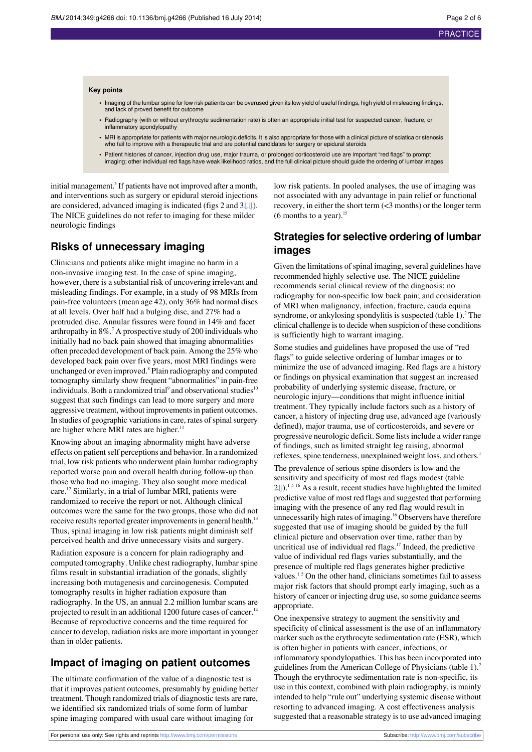#### **Key points**

- **•** Imaging of the lumbar spine for low risk patients can be overused given its low yield of useful findings, high yield of misleading findings, and lack of proved benefit for outcome
- **•** Radiography (with or without erythrocyte sedimentation rate) is often an appropriate initial test for suspected cancer, fracture, or inflammatory spondylopathy
- **•** MRI is appropriate for patients with major neurologic deficits. It is also appropriate for those with a clinical picture of sciatica or stenosis who fail to improve with a therapeutic trial and are potential candidates for surgery or epidural steroids
- **•** Patient histories of cancer, injection drug use, major trauma, or prolonged corticosteroid use are important "red flags" to prompt imaging; other individual red flags have weak likelihood ratios, and the full clinical picture should guide the ordering of lumbar images

initial management.<sup>5</sup> If patients have not improved after a month, and interventions such as surgery or epidural steroid injections are considered, advanced imaging is indicated (figs 2 and 3[⇓](#page-5-1)[⇓](#page-5-2)). The NICE guidelines do not refer to imaging for these milder neurologic findings

#### **Risks of unnecessary imaging**

Clinicians and patients alike might imagine no harm in a non-invasive imaging test. In the case of spine imaging, however, there is a substantial risk of uncovering irrelevant and misleading findings. For example, in a study of 98 MRIs from pain-free volunteers (mean age 42), only 36% had normal discs at all levels. Over half had a bulging disc, and 27% had a protruded disc. Annular fissures were found in 14% and facet arthropathy in  $8\%$ .<sup>7</sup> A prospective study of 200 individuals who initially had no back pain showed that imaging abnormalities often preceded development of back pain. Among the 25% who developed back pain over five years, most MRI findings were unchanged or even improved.<sup>8</sup> Plain radiography and computed tomography similarly show frequent "abnormalities" in pain-free individuals. Both a randomized trial $^9$  and observational studies $^{10}$ suggest that such findings can lead to more surgery and more aggressive treatment, without improvements in patient outcomes. In studies of geographic variations in care, rates of spinal surgery are higher where MRI rates are higher.<sup>11</sup>

Knowing about an imaging abnormality might have adverse effects on patient self perceptions and behavior. In a randomized trial, low risk patients who underwent plain lumbar radiography reported worse pain and overall health during follow-up than those who had no imaging. They also sought more medical care.<sup>12</sup> Similarly, in a trial of lumbar MRI, patients were randomized to receive the report or not. Although clinical outcomes were the same for the two groups, those who did not receive results reported greater improvements in general health.<sup>13</sup> Thus, spinal imaging in low risk patients might diminish self perceived health and drive unnecessary visits and surgery.

Radiation exposure is a concern for plain radiography and computed tomography. Unlike chest radiography, lumbarspine films result in substantial irradiation of the gonads, slightly increasing both mutagenesis and carcinogenesis. Computed tomography results in higher radiation exposure than radiography. In the US, an annual 2.2 million lumbar scans are projected to result in an additional 1200 future cases of cancer.<sup>14</sup> Because of reproductive concerns and the time required for cancer to develop, radiation risks are more important in younger than in older patients.

#### **Impact of imaging on patient outcomes**

The ultimate confirmation of the value of a diagnostic test is that it improves patient outcomes, presumably by guiding better treatment. Though randomized trials of diagnostic tests are rare, we identified six randomized trials of some form of lumbar spine imaging compared with usual care without imaging for

low risk patients. In pooled analyses, the use of imaging was not associated with any advantage in pain relief or functional recovery, in either the short term (<3 months) or the longer term (6 months to a year).<sup>15</sup>

#### **Strategies for selective ordering of lumbar images**

Given the limitations of spinal imaging, several guidelines have recommended highly selective use. The NICE guideline recommends serial clinical review of the diagnosis; no radiography for non-specific low back pain; and consideration of MRI when malignancy, infection, fracture, cauda equina syndrome, or ankylosing spondylitis is suspected (table 1). $^2$  The clinical challenge isto decide when suspicion of these conditions is sufficiently high to warrant imaging.

Some studies and guidelines have proposed the use of "red flags" to guide selective ordering of lumbar images or to minimize the use of advanced imaging. Red flags are a history or findings on physical examination that suggest an increased probability of underlying systemic disease, fracture, or neurologic injury—conditions that might influence initial treatment. They typically include factors such as a history of cancer, a history of injecting drug use, advanced age (variously defined), major trauma, use of corticosteroids, and severe or progressive neurologic deficit. Some listsinclude a wider range of findings, such as limited straight leg raising, abnormal reflexes, spine tenderness, unexplained weight loss, and others.<sup>1</sup> The prevalence of serious spine disorders is low and the sensitivity and specificity of most red flags modest (table  $2\sqrt{2}$ ).<sup>15 16</sup> As a result, recent studies have highlighted the limited predictive value of most red flags and suggested that performing imaging with the presence of any red flag would result in unnecessarily high rates of imaging.<sup>16</sup> Observers have therefore suggested that use of imaging should be guided by the full clinical picture and observation over time, rather than by uncritical use of individual red flags.<sup>17</sup> Indeed, the predictive value of individual red flags varies substantially, and the presence of multiple red flags generates higher predictive values.<sup>15</sup> On the other hand, clinicians sometimes fail to assess major risk factors that should prompt early imaging, such as a history of cancer or injecting drug use, so some guidance seems appropriate.

One inexpensive strategy to augment the sensitivity and specificity of clinical assessment is the use of an inflammatory marker such as the erythrocyte sedimentation rate (ESR), which is often higher in patients with cancer, infections, or inflammatory spondylopathies. This has been incorporated into guidelines from the American College of Physicians (table 1).<sup>2</sup> Though the erythrocyte sedimentation rate is non-specific, its use in this context, combined with plain radiography, is mainly intended to help "rule out" underlying systemic disease without resorting to advanced imaging. A cost effectiveness analysis suggested that a reasonable strategy is to use advanced imaging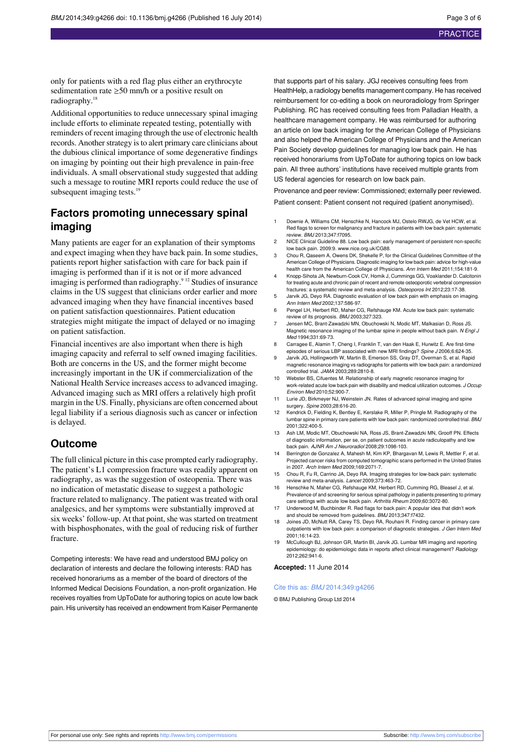only for patients with a red flag plus either an erythrocyte sedimentation rate  $\geq 50$  mm/h or a positive result on radiography.<sup>1</sup>

Additional opportunities to reduce unnecessary spinal imaging include efforts to eliminate repeated testing, potentially with reminders of recent imaging through the use of electronic health records. Another strategy is to alert primary care clinicians about the dubious clinical importance of some degenerative findings on imaging by pointing out their high prevalence in pain-free individuals. A small observational study suggested that adding such a message to routine MRI reports could reduce the use of subsequent imaging tests.<sup>19</sup>

#### **Factors promoting unnecessary spinal imaging**

Many patients are eager for an explanation of their symptoms and expect imaging when they have back pain. In some studies, patients report higher satisfaction with care for back pain if imaging is performed than if it is not or if more advanced imaging is performed than radiography.<sup>9 12</sup> Studies of insurance claims in the US suggest that clinicians order earlier and more advanced imaging when they have financial incentives based on patient satisfaction questionnaires. Patient education strategies might mitigate the impact of delayed or no imaging on patient satisfaction.

Financial incentives are also important when there is high imaging capacity and referral to self owned imaging facilities. Both are concerns in the US, and the former might become increasingly important in the UK if commercialization of the National Health Service increases access to advanced imaging. Advanced imaging such as MRI offers a relatively high profit margin in the US. Finally, physicians are often concerned about legal liability if a serious diagnosis such as cancer or infection is delayed.

#### **Outcome**

The full clinical picture in this case prompted early radiography. The patient's L1 compression fracture was readily apparent on radiography, as was the suggestion of osteopenia. There was no indication of metastatic disease to suggest a pathologic fracture related to malignancy. The patient was treated with oral analgesics, and her symptoms were substantially improved at six weeks' follow-up. At that point, she was started on treatment with bisphosphonates, with the goal of reducing risk of further fracture.

Competing interests: We have read and understood BMJ policy on declaration of interests and declare the following interests: RAD has received honorariums as a member of the board of directors of the Informed Medical Decisions Foundation, a non-profit organization. He receives royalties from UpToDate for authoring topics on acute low back pain. His university has received an endowment from Kaiser Permanente

that supports part of his salary. JGJ receives consulting fees from HealthHelp, a radiology benefits management company. He has received reimbursement for co-editing a book on neuroradiology from Springer Publishing. RC has received consulting fees from Palladian Health, a healthcare management company. He was reimbursed for authoring an article on low back imaging for the American College of Physicians and also helped the American College of Physicians and the American Pain Society develop guidelines for managing low back pain. He has received honorariums from UpToDate for authoring topics on low back pain. All three authors' institutions have received multiple grants from US federal agencies for research on low back pain.

Provenance and peer review: Commissioned; externally peer reviewed.

Patient consent: Patient consent not required (patient anonymised).

- 1 Downie A, Williams CM, Henschke N, Hancock MJ, Ostelo RWJG, de Vet HCW, et al. Red flags to screen for malignancy and fracture in patients with low back pain: systematic review. BMJ 2013;347:f7095.
- 2 NICE Clinical Guideline 88. Low back pain: early management of persistent non-specific low back pain. 2009:9. [www.nice.org.uk/CG88.](http://www.nice.org.uk/CG88)
- 3 Chou R, Qaseem A, Owens DK, Shekelle P, for the Clinical Guidelines Committee of the American College of Physicians. Diagnostic imaging for low back pain: advice for high-value health care from the American College of Physicians. Ann Intern Med 2011;154:181-9.
- Knopp-Sihota JA, Newburn-Cook CV, Homik J, Cummings GG, Voaklander D. Calcitonin for treating acute and chronic pain of recent and remote osteoporotic vertebral compression fractures: a systematic review and meta-analysis. Osteoporos Int 2012;23:17-38. Jarvik JG, Devo RA. Diagnostic evaluation of low back pain with emphasis on imaging.
- Ann Intern Med 2002;137:586-97. 6 Pengel LH, Herbert RD, Maher CG, Refshauge KM. Acute low back pain: systematic
- review of its prognosis. BMJ 2003;327:323.
- Jensen MC, Brant-Zawadzki MN, Obuchowski N, Modic MT, Malkasian D, Ross JS. Magnetic resonance imaging of the lumbar spine in people without back pain. N Engl J Med 1994;331:69-73.
- 8 Carragee E, Alamin T, Cheng I, Franklin T, van den Haak E, Hurwitz E. Are first-time episodes of serious LBP associated with new MRI findings? Spine J 2006;6:624-35.
- 9 Jarvik JG, Hollingworth W, Martin B, Emerson SS, Gray DT, Overman S, et al. Rapid magnetic resonance imaging vs radiographs for patients with low back pain: a randomized controlled trial. JAMA 2003;289:2810-8.
- Webster BS, Cifuentes M. Relationship of early magnetic resonance imaging for work-related acute low back pain with disability and medical utilization outcomes. J Occup Environ Med 2010;52:900-7.
- 11 Lurie JD, Birkmeyer NJ, Weinstein JN. Rates of advanced spinal imaging and spine surgery. Spine 2003;28:616-20.
- 12 Kendrick D, Fielding K, Bentley E, Kerslake R, Miller P, Pringle M. Radiography of the lumbar spine in primary care patients with low back pain: randomized controlled trial. BMJ 2001;322:400-5.
- 13 Ash LM, Modic MT, Obuchowski NA, Ross JS, Brant-Zawadzki MN, Grooff PN. Effects of diagnostic information, per se, on patient outcomes in acute radiculopathy and low back pain. AJNR Am J Neuroradiol 2008;29:1098-103.
- 14 Berrington de Gonzalez A, Mahesh M, Kim KP, Bhargavan M, Lewis R, Mettler F, et al. Projected cancer risks from computed tomographic scans performed in the United States in 2007. Arch Intern Med 2009;169:2071-7.
- 15 Chou R, Fu R, Carrino JA, Deyo RA. Imaging strategies for low-back pain: systematic review and meta-analysis. Lancet 2009;373:463-72.
- 16 Henschke N, Maher CG, Refshauge KM, Herbert RD, Cumming RG, Bleasel J, et al. Prevalence of and screening for serious spinal pathology in patients presenting to primary care settings with acute low back pain. Arthritis Rheum 2009;60:3072-80.
- 17 Underwood M, Buchbinder R. Red flags for back pain: A popular idea that didn't work and should be removed from guidelines. BMJ 2013;347:f7432.
- 18 Joines JD, McNutt RA, Carey TS, Deyo RA, Rouhani R. Finding cancer in primary care outpatients with low back pain: a comparison of diagnostic strategies. J Gen Intern Med 2001;16:14-23.
- 19 McCullough BJ, Johnson GR, Martin BI, Jarvik JG. Lumbar MR imaging and reporting epidemiology: do epidemiologic data in reports affect clinical management? Radiology 2012;262:941-6.

**Accepted:** 11 June 2014

#### Cite this as: **BMJ** 2014:349:q4266

© BMJ Publishing Group Ltd 2014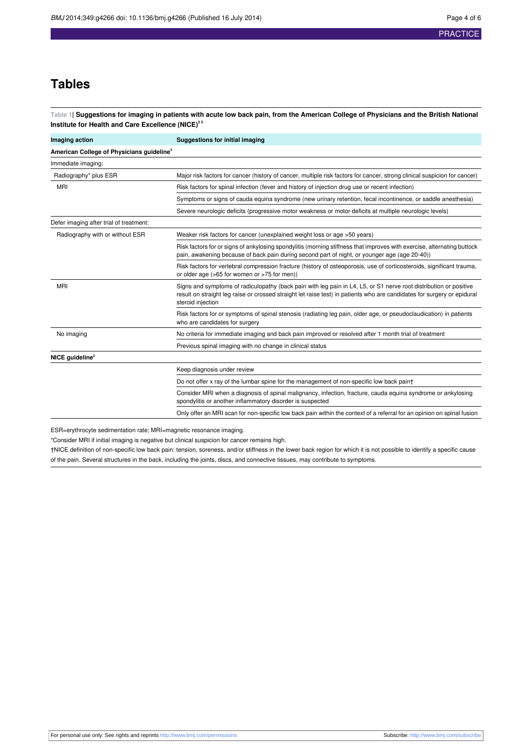### **Tables**

<span id="page-3-0"></span>Table 1| Suggestions for imaging in patients with acute low back pain, from the American College of Physicians and the British National **Institute for Health and Care Excellence (NICE)<sup>2</sup> <sup>3</sup>**

| Imaging action                                        | <b>Suggestions for initial imaging</b>                                                                                                                                                                                                                            |  |  |
|-------------------------------------------------------|-------------------------------------------------------------------------------------------------------------------------------------------------------------------------------------------------------------------------------------------------------------------|--|--|
| American College of Physicians guideline <sup>3</sup> |                                                                                                                                                                                                                                                                   |  |  |
| Immediate imaging:                                    |                                                                                                                                                                                                                                                                   |  |  |
| Radiography* plus ESR                                 | Major risk factors for cancer (history of cancer, multiple risk factors for cancer, strong clinical suspicion for cancer)                                                                                                                                         |  |  |
| <b>MRI</b>                                            | Risk factors for spinal infection (fever and history of injection drug use or recent infection)                                                                                                                                                                   |  |  |
|                                                       | Symptoms or signs of cauda equina syndrome (new urinary retention, fecal incontinence, or saddle anesthesia)                                                                                                                                                      |  |  |
|                                                       | Severe neurologic deficits (progressive motor weakness or motor deficits at multiple neurologic levels)                                                                                                                                                           |  |  |
| Defer imaging after trial of treatment:               |                                                                                                                                                                                                                                                                   |  |  |
| Radiography with or without ESR                       | Weaker risk factors for cancer (unexplained weight loss or age > 50 years)                                                                                                                                                                                        |  |  |
|                                                       | Risk factors for or signs of ankylosing spondylitis (morning stiffness that improves with exercise, alternating buttock<br>pain, awakening because of back pain during second part of night, or younger age (age 20-40))                                          |  |  |
|                                                       | Risk factors for vertebral compression fracture (history of osteoporosis, use of corticosteroids, significant trauma,<br>or older age $(>65$ for women or $>75$ for men))                                                                                         |  |  |
| <b>MRI</b>                                            | Signs and symptoms of radiculopathy (back pain with leg pain in L4, L5, or S1 nerve root distribution or positive<br>result on straight leg raise or crossed straight let raise test) in patients who are candidates for surgery or epidural<br>steroid injection |  |  |
|                                                       | Risk factors for or symptoms of spinal stenosis (radiating leg pain, older age, or pseudoclaudication) in patients<br>who are candidates for surgery                                                                                                              |  |  |
| No imaging                                            | No criteria for immediate imaging and back pain improved or resolved after 1 month trial of treatment                                                                                                                                                             |  |  |
|                                                       | Previous spinal imaging with no change in clinical status                                                                                                                                                                                                         |  |  |
| NICE quideline <sup>2</sup>                           |                                                                                                                                                                                                                                                                   |  |  |
|                                                       | Keep diagnosis under review                                                                                                                                                                                                                                       |  |  |
|                                                       | Do not offer x ray of the lumbar spine for the management of non-specific low back pain+                                                                                                                                                                          |  |  |
|                                                       | Consider MRI when a diagnosis of spinal malignancy, infection, fracture, cauda equina syndrome or ankylosing<br>spondylitis or another inflammatory disorder is suspected                                                                                         |  |  |
|                                                       | Only offer an MRI scan for non-specific low back pain within the context of a referral for an opinion on spinal fusion                                                                                                                                            |  |  |

ESR=erythrocyte sedimentation rate; MRI=magnetic resonance imaging.

\*Consider MRI if initial imaging is negative but clinical suspicion for cancer remains high.

†NICE definition of non-specific low back pain: tension, soreness, and/or stiffness in the lower back region for which it is not possible to identify a specific cause of the pain. Several structures in the back, including the joints, discs, and connective tissues, may contribute to symptoms.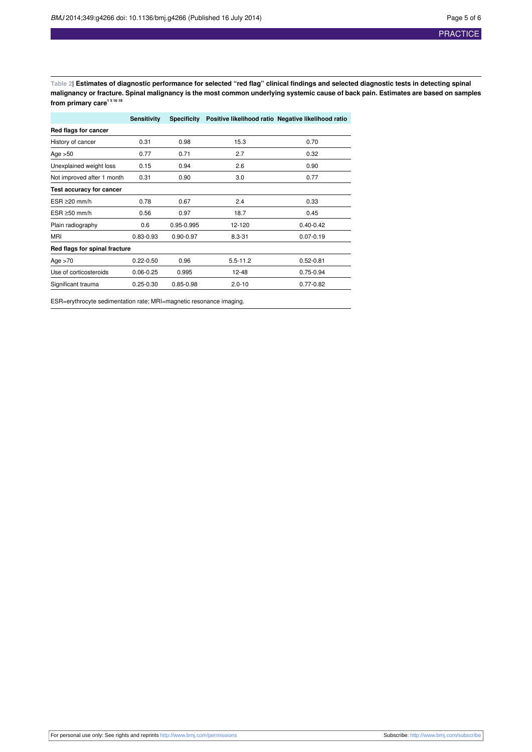<span id="page-4-0"></span>Table 2| Estimates of diagnostic performance for selected "red flag" clinical findings and selected diagnostic tests in detecting spinal malignancy or fracture. Spinal malignancy is the most common underlying systemic cause of back pain. Estimates are based on samples **from primary care<sup>1</sup> <sup>5</sup> <sup>16</sup> <sup>18</sup>**

|                                 | <b>Sensitivity</b> | <b>Specificity</b> |              | Positive likelihood ratio Negative likelihood ratio |  |  |
|---------------------------------|--------------------|--------------------|--------------|-----------------------------------------------------|--|--|
| Red flags for cancer            |                    |                    |              |                                                     |  |  |
| History of cancer               | 0.31               | 0.98               | 15.3         | 0.70                                                |  |  |
| Age $>50$                       | 0.77               | 0.71               | 2.7          | 0.32                                                |  |  |
| Unexplained weight loss         | 0.15               | 0.94               | 2.6          | 0.90                                                |  |  |
| Not improved after 1 month      | 0.31               | 0.90               | 3.0          | 0.77                                                |  |  |
| <b>Test accuracy for cancer</b> |                    |                    |              |                                                     |  |  |
| ESR $\geq$ 20 mm/h              | 0.78               | 0.67               | 2.4          | 0.33                                                |  |  |
| ESR $\geq 50$ mm/h              | 0.56               | 0.97               | 18.7         | 0.45                                                |  |  |
| Plain radiography               | 0.6                | 0.95-0.995         | 12-120       | $0.40 - 0.42$                                       |  |  |
| <b>MRI</b>                      | $0.83 - 0.93$      | $0.90 - 0.97$      | $8.3 - 31$   | $0.07 - 0.19$                                       |  |  |
| Red flags for spinal fracture   |                    |                    |              |                                                     |  |  |
| Age $>70$                       | $0.22 - 0.50$      | 0.96               | $5.5 - 11.2$ | $0.52 - 0.81$                                       |  |  |
| Use of corticosteroids          | $0.06 - 0.25$      | 0.995              | 12-48        | 0.75-0.94                                           |  |  |
| Significant trauma              | $0.25 - 0.30$      | $0.85 - 0.98$      | $2.0 - 10$   | $0.77 - 0.82$                                       |  |  |
|                                 |                    |                    |              |                                                     |  |  |

ESR=erythrocyte sedimentation rate; MRI=magnetic resonance imaging.